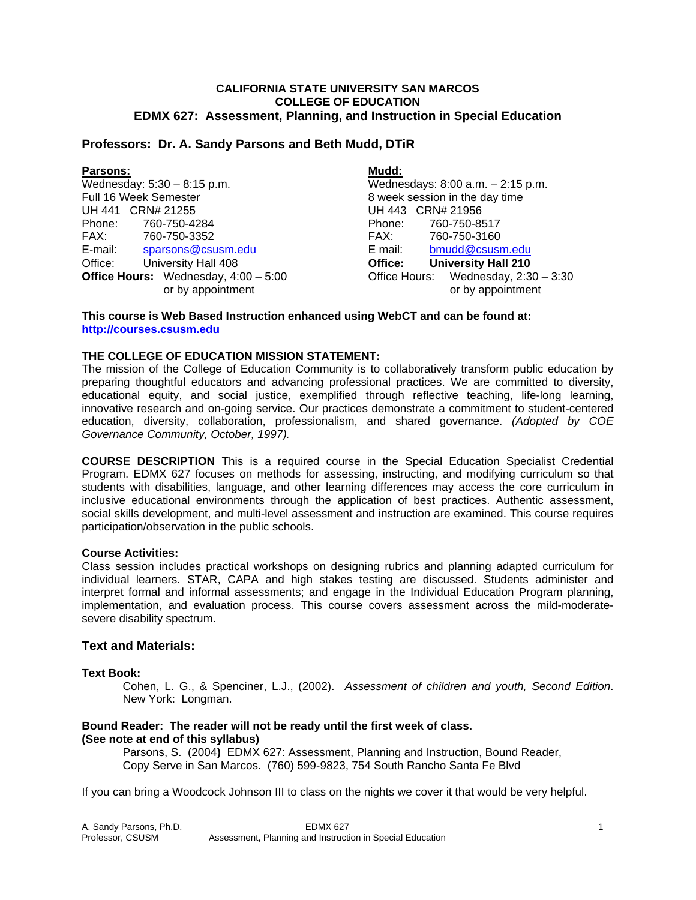#### **CALIFORNIA STATE UNIVERSITY SAN MARCOS COLLEGE OF EDUCATION EDMX 627: Assessment, Planning, and Instruction in Special Education**

# **Professors: Dr. A. Sandy Parsons and Beth Mudd, DTiR**

| <b>Parsons:</b>                               | Mudd:                                 |
|-----------------------------------------------|---------------------------------------|
| Wednesday: $5:30 - 8:15$ p.m.                 | Wednesdays: 8:00 a.m. - 2:15 p.m.     |
| Full 16 Week Semester                         | 8 week session in the day time        |
| UH 441 CRN# 21255                             | UH 443 CRN# 21956                     |
| Phone:<br>760-750-4284                        | Phone:<br>760-750-8517                |
| FAX:<br>760-750-3352                          | 760-750-3160<br>FAX:                  |
| E-mail:<br>sparsons@csusm.edu                 | E mail:<br>bmudd@csusm.edu            |
| University Hall 408<br>Office:                | <b>University Hall 210</b><br>Office: |
| <b>Office Hours:</b> Wednesday, $4:00 - 5:00$ | Office Hours: Wednesday, 2:30 - 3:30  |
| or by appointment                             | or by appointment                     |

#### **This course is Web Based Instruction enhanced using WebCT and can be found at: http://courses.csusm.edu**

# **THE COLLEGE OF EDUCATION MISSION STATEMENT:**

The mission of the College of Education Community is to collaboratively transform public education by preparing thoughtful educators and advancing professional practices. We are committed to diversity, educational equity, and social justice, exemplified through reflective teaching, life-long learning, innovative research and on-going service. Our practices demonstrate a commitment to student-centered education, diversity, collaboration, professionalism, and shared governance. *(Adopted by COE Governance Community, October, 1997).* 

**COURSE DESCRIPTION** This is a required course in the Special Education Specialist Credential Program. EDMX 627 focuses on methods for assessing, instructing, and modifying curriculum so that students with disabilities, language, and other learning differences may access the core curriculum in inclusive educational environments through the application of best practices. Authentic assessment, social skills development, and multi-level assessment and instruction are examined. This course requires participation/observation in the public schools.

# **Course Activities:**

Class session includes practical workshops on designing rubrics and planning adapted curriculum for individual learners. STAR, CAPA and high stakes testing are discussed. Students administer and interpret formal and informal assessments; and engage in the Individual Education Program planning, implementation, and evaluation process. This course covers assessment across the mild-moderatesevere disability spectrum.

#### **Text and Materials:**

#### **Text Book:**

 Cohen, L. G., & Spenciner, L.J., (2002). *Assessment of children and youth, Second Edition*. New York: Longman.

# **Bound Reader: The reader will not be ready until the first week of class. (See note at end of this syllabus)**

 Parsons, S. (2004**)** EDMX 627: Assessment, Planning and Instruction, Bound Reader, Copy Serve in San Marcos. (760) 599-9823, 754 South Rancho Santa Fe Blvd

If you can bring a Woodcock Johnson III to class on the nights we cover it that would be very helpful.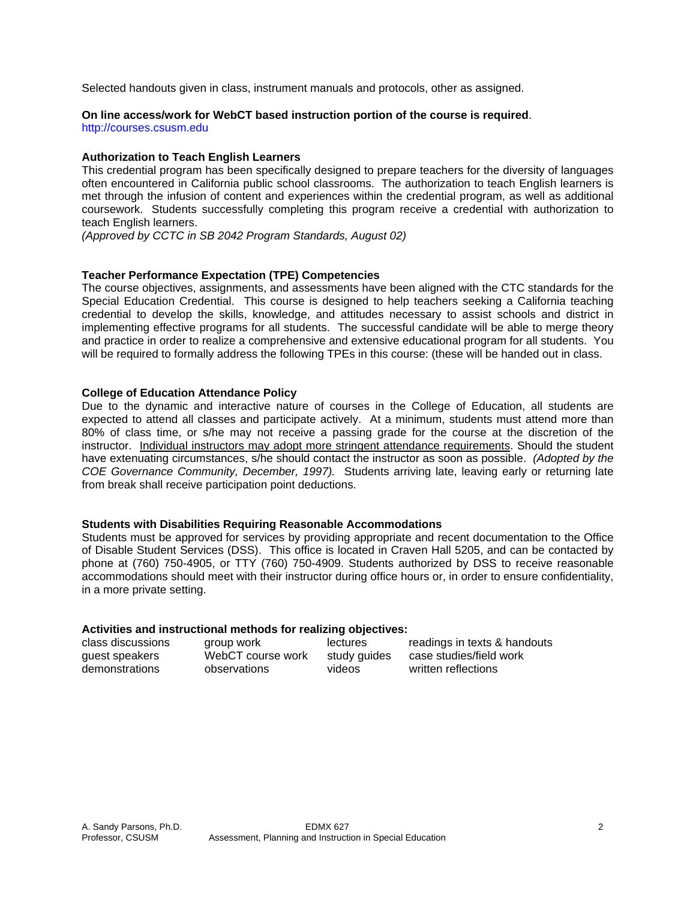Selected handouts given in class, instrument manuals and protocols, other as assigned.

# **On line access/work for WebCT based instruction portion of the course is required**.

http://courses.csusm.edu

# **Authorization to Teach English Learners**

This credential program has been specifically designed to prepare teachers for the diversity of languages often encountered in California public school classrooms. The authorization to teach English learners is met through the infusion of content and experiences within the credential program, as well as additional coursework. Students successfully completing this program receive a credential with authorization to teach English learners.

*(Approved by CCTC in SB 2042 Program Standards, August 02)*

# **Teacher Performance Expectation (TPE) Competencies**

The course objectives, assignments, and assessments have been aligned with the CTC standards for the Special Education Credential. This course is designed to help teachers seeking a California teaching credential to develop the skills, knowledge, and attitudes necessary to assist schools and district in implementing effective programs for all students. The successful candidate will be able to merge theory and practice in order to realize a comprehensive and extensive educational program for all students. You will be required to formally address the following TPEs in this course: (these will be handed out in class.

#### **College of Education Attendance Policy**

Due to the dynamic and interactive nature of courses in the College of Education, all students are expected to attend all classes and participate actively. At a minimum, students must attend more than 80% of class time, or s/he may not receive a passing grade for the course at the discretion of the instructor. Individual instructors may adopt more stringent attendance requirements. Should the student have extenuating circumstances, s/he should contact the instructor as soon as possible. *(Adopted by the COE Governance Community, December, 1997).* Students arriving late, leaving early or returning late from break shall receive participation point deductions.

#### **Students with Disabilities Requiring Reasonable Accommodations**

Students must be approved for services by providing appropriate and recent documentation to the Office of Disable Student Services (DSS). This office is located in Craven Hall 5205, and can be contacted by phone at (760) 750-4905, or TTY (760) 750-4909. Students authorized by DSS to receive reasonable accommodations should meet with their instructor during office hours or, in order to ensure confidentiality, in a more private setting.

#### **Activities and instructional methods for realizing objectives:**

| class discussions | group work        | lectures     | readings in texts & handouts |
|-------------------|-------------------|--------------|------------------------------|
| guest speakers    | WebCT course work | study quides | case studies/field work      |
| demonstrations    | observations      | videos       | written reflections          |
|                   |                   |              |                              |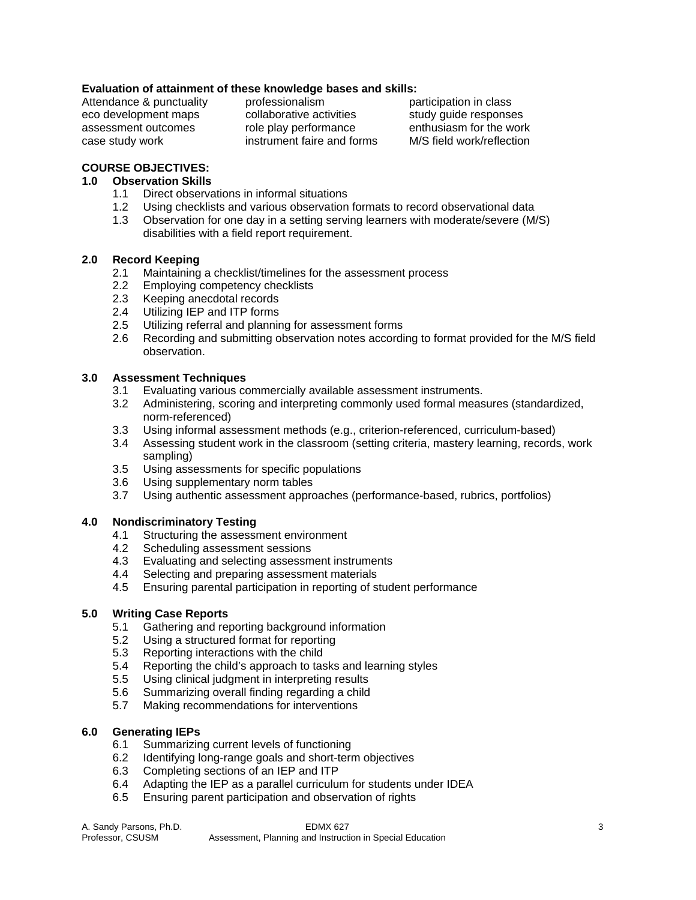# **Evaluation of attainment of these knowledge bases and skills:**

Attendance & punctuality professionalism participation in class

eco development maps and collaborative activities study quide responses assessment outcomes role play performance enthusiasm for the work case study work instrument faire and forms M/S field work/reflection

# **COURSE OBJECTIVES:**

# **1.0 Observation Skills**

- 1.1 Direct observations in informal situations
- 1.2 Using checklists and various observation formats to record observational data
- 1.3 Observation for one day in a setting serving learners with moderate/severe (M/S) disabilities with a field report requirement.

#### **2.0 Record Keeping**

- 2.1 Maintaining a checklist/timelines for the assessment process
- 2.2 Employing competency checklists
- 2.3 Keeping anecdotal records
- 2.4 Utilizing IEP and ITP forms
- 2.5 Utilizing referral and planning for assessment forms
- 2.6 Recording and submitting observation notes according to format provided for the M/S field observation.

# **3.0 Assessment Techniques**

- 3.1 Evaluating various commercially available assessment instruments.
- 3.2 Administering, scoring and interpreting commonly used formal measures (standardized, norm-referenced)
- 3.3 Using informal assessment methods (e.g., criterion-referenced, curriculum-based)
- 3.4 Assessing student work in the classroom (setting criteria, mastery learning, records, work sampling)
- 3.5 Using assessments for specific populations
- 3.6 Using supplementary norm tables
- 3.7 Using authentic assessment approaches (performance-based, rubrics, portfolios)

# **4.0 Nondiscriminatory Testing**

- 4.1 Structuring the assessment environment
- 4.2 Scheduling assessment sessions
- 4.3 Evaluating and selecting assessment instruments
- 4.4 Selecting and preparing assessment materials
- 4.5 Ensuring parental participation in reporting of student performance

# **5.0 Writing Case Reports**

- 5.1 Gathering and reporting background information
- 5.2 Using a structured format for reporting
- 5.3 Reporting interactions with the child
- 5.4 Reporting the child's approach to tasks and learning styles
- 5.5 Using clinical judgment in interpreting results
- 5.6 Summarizing overall finding regarding a child
- 5.7 Making recommendations for interventions

# **6.0 Generating IEPs**

- 6.1 Summarizing current levels of functioning
- 6.2 Identifying long-range goals and short-term objectives
- 6.3 Completing sections of an IEP and ITP
- 6.4 Adapting the IEP as a parallel curriculum for students under IDEA
- 6.5 Ensuring parent participation and observation of rights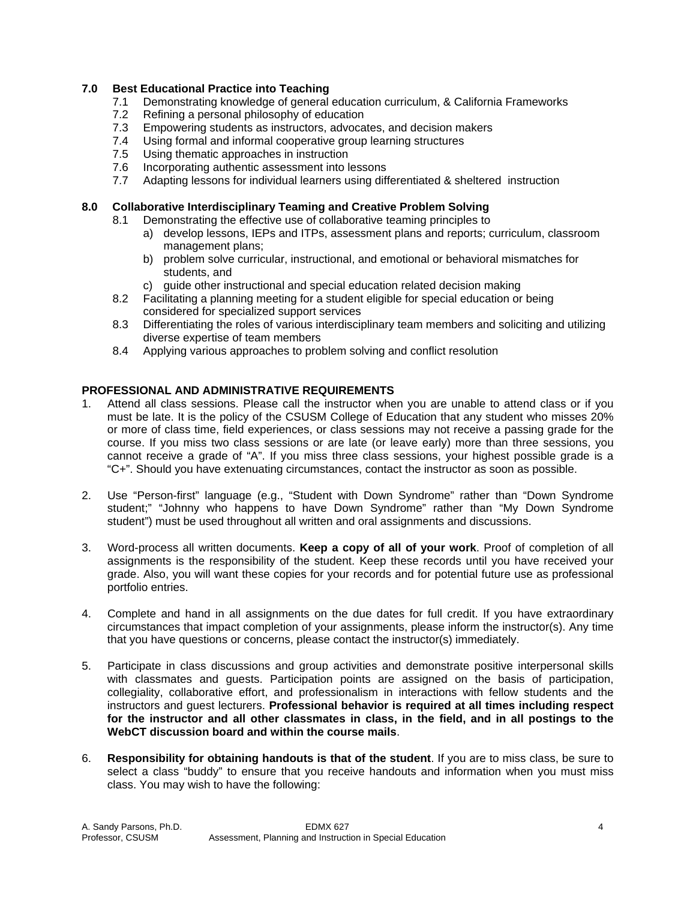# **7.0 Best Educational Practice into Teaching**

- 7.1 Demonstrating knowledge of general education curriculum, & California Frameworks
- 7.2 Refining a personal philosophy of education
- 7.3 Empowering students as instructors, advocates, and decision makers
- 7.4 Using formal and informal cooperative group learning structures
- 7.5 Using thematic approaches in instruction
- 7.6 Incorporating authentic assessment into lessons
- 7.7 Adapting lessons for individual learners using differentiated & sheltered instruction

# **8.0 Collaborative Interdisciplinary Teaming and Creative Problem Solving**

- 8.1 Demonstrating the effective use of collaborative teaming principles to
	- a) develop lessons, IEPs and ITPs, assessment plans and reports; curriculum, classroom management plans;
	- b) problem solve curricular, instructional, and emotional or behavioral mismatches for students, and
	- c) guide other instructional and special education related decision making
- 8.2 Facilitating a planning meeting for a student eligible for special education or being considered for specialized support services
- 8.3 Differentiating the roles of various interdisciplinary team members and soliciting and utilizing diverse expertise of team members
- 8.4 Applying various approaches to problem solving and conflict resolution

# **PROFESSIONAL AND ADMINISTRATIVE REQUIREMENTS**

- 1. Attend all class sessions. Please call the instructor when you are unable to attend class or if you must be late. It is the policy of the CSUSM College of Education that any student who misses 20% or more of class time, field experiences, or class sessions may not receive a passing grade for the course. If you miss two class sessions or are late (or leave early) more than three sessions, you cannot receive a grade of "A". If you miss three class sessions, your highest possible grade is a "C+". Should you have extenuating circumstances, contact the instructor as soon as possible.
- 2. Use "Person-first" language (e.g., "Student with Down Syndrome" rather than "Down Syndrome student;" "Johnny who happens to have Down Syndrome" rather than "My Down Syndrome student") must be used throughout all written and oral assignments and discussions.
- 3. Word-process all written documents. **Keep a copy of all of your work**. Proof of completion of all assignments is the responsibility of the student. Keep these records until you have received your grade. Also, you will want these copies for your records and for potential future use as professional portfolio entries.
- 4. Complete and hand in all assignments on the due dates for full credit. If you have extraordinary circumstances that impact completion of your assignments, please inform the instructor(s). Any time that you have questions or concerns, please contact the instructor(s) immediately.
- 5. Participate in class discussions and group activities and demonstrate positive interpersonal skills with classmates and guests. Participation points are assigned on the basis of participation, collegiality, collaborative effort, and professionalism in interactions with fellow students and the instructors and guest lecturers. **Professional behavior is required at all times including respect for the instructor and all other classmates in class, in the field, and in all postings to the WebCT discussion board and within the course mails**.
- 6. **Responsibility for obtaining handouts is that of the student**. If you are to miss class, be sure to select a class "buddy" to ensure that you receive handouts and information when you must miss class. You may wish to have the following: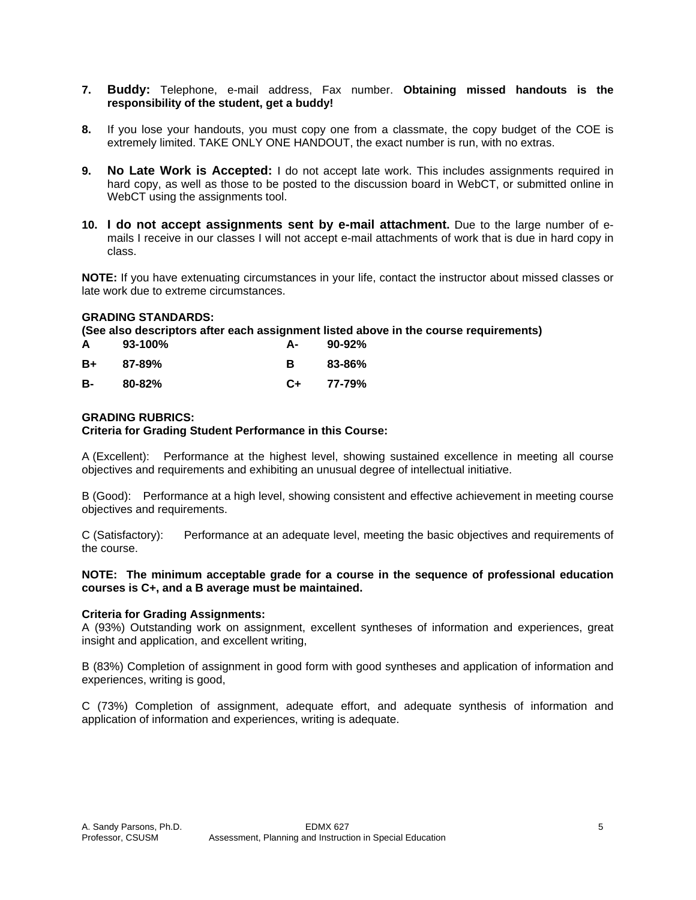# **7. Buddy:** Telephone, e-mail address, Fax number. **Obtaining missed handouts is the responsibility of the student, get a buddy!**

- **8.** If you lose your handouts, you must copy one from a classmate, the copy budget of the COE is extremely limited. TAKE ONLY ONE HANDOUT, the exact number is run, with no extras.
- **9. No Late Work is Accepted:** I do not accept late work. This includes assignments required in hard copy, as well as those to be posted to the discussion board in WebCT, or submitted online in WebCT using the assignments tool.
- **10. I do not accept assignments sent by e-mail attachment.** Due to the large number of emails I receive in our classes I will not accept e-mail attachments of work that is due in hard copy in class.

**NOTE:** If you have extenuating circumstances in your life, contact the instructor about missed classes or late work due to extreme circumstances.

#### **GRADING STANDARDS:**

**(See also descriptors after each assignment listed above in the course requirements)** 

| A  | 93-100%    | А- | $90 - 92%$ |
|----|------------|----|------------|
| B+ | $87 - 89%$ | в  | 83-86%     |
| в- | $80 - 82%$ | C+ | 77-79%     |

#### **GRADING RUBRICS:**

#### **Criteria for Grading Student Performance in this Course:**

A (Excellent): Performance at the highest level, showing sustained excellence in meeting all course objectives and requirements and exhibiting an unusual degree of intellectual initiative.

B (Good): Performance at a high level, showing consistent and effective achievement in meeting course objectives and requirements.

C (Satisfactory): Performance at an adequate level, meeting the basic objectives and requirements of the course.

#### **NOTE: The minimum acceptable grade for a course in the sequence of professional education courses is C+, and a B average must be maintained.**

#### **Criteria for Grading Assignments:**

A (93%) Outstanding work on assignment, excellent syntheses of information and experiences, great insight and application, and excellent writing,

B (83%) Completion of assignment in good form with good syntheses and application of information and experiences, writing is good,

C (73%) Completion of assignment, adequate effort, and adequate synthesis of information and application of information and experiences, writing is adequate.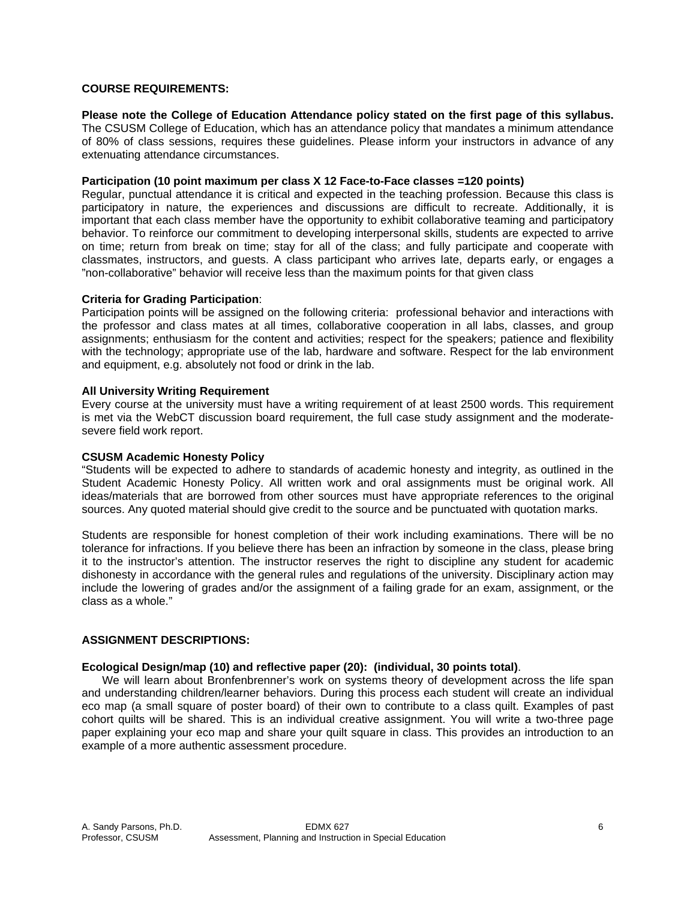### **COURSE REQUIREMENTS:**

#### **Please note the College of Education Attendance policy stated on the first page of this syllabus.**

The CSUSM College of Education, which has an attendance policy that mandates a minimum attendance of 80% of class sessions, requires these guidelines. Please inform your instructors in advance of any extenuating attendance circumstances.

# **Participation (10 point maximum per class X 12 Face-to-Face classes =120 points)**

Regular, punctual attendance it is critical and expected in the teaching profession. Because this class is participatory in nature, the experiences and discussions are difficult to recreate. Additionally, it is important that each class member have the opportunity to exhibit collaborative teaming and participatory behavior. To reinforce our commitment to developing interpersonal skills, students are expected to arrive on time; return from break on time; stay for all of the class; and fully participate and cooperate with classmates, instructors, and guests. A class participant who arrives late, departs early, or engages a "non-collaborative" behavior will receive less than the maximum points for that given class

#### **Criteria for Grading Participation**:

Participation points will be assigned on the following criteria: professional behavior and interactions with the professor and class mates at all times, collaborative cooperation in all labs, classes, and group assignments; enthusiasm for the content and activities; respect for the speakers; patience and flexibility with the technology; appropriate use of the lab, hardware and software. Respect for the lab environment and equipment, e.g. absolutely not food or drink in the lab.

#### **All University Writing Requirement**

Every course at the university must have a writing requirement of at least 2500 words. This requirement is met via the WebCT discussion board requirement, the full case study assignment and the moderatesevere field work report.

#### **CSUSM Academic Honesty Policy**

"Students will be expected to adhere to standards of academic honesty and integrity, as outlined in the Student Academic Honesty Policy. All written work and oral assignments must be original work. All ideas/materials that are borrowed from other sources must have appropriate references to the original sources. Any quoted material should give credit to the source and be punctuated with quotation marks.

Students are responsible for honest completion of their work including examinations. There will be no tolerance for infractions. If you believe there has been an infraction by someone in the class, please bring it to the instructor's attention. The instructor reserves the right to discipline any student for academic dishonesty in accordance with the general rules and regulations of the university. Disciplinary action may include the lowering of grades and/or the assignment of a failing grade for an exam, assignment, or the class as a whole."

#### **ASSIGNMENT DESCRIPTIONS:**

#### **Ecological Design/map (10) and reflective paper (20): (individual, 30 points total)**.

 We will learn about Bronfenbrenner's work on systems theory of development across the life span and understanding children/learner behaviors. During this process each student will create an individual eco map (a small square of poster board) of their own to contribute to a class quilt. Examples of past cohort quilts will be shared. This is an individual creative assignment. You will write a two-three page paper explaining your eco map and share your quilt square in class. This provides an introduction to an example of a more authentic assessment procedure.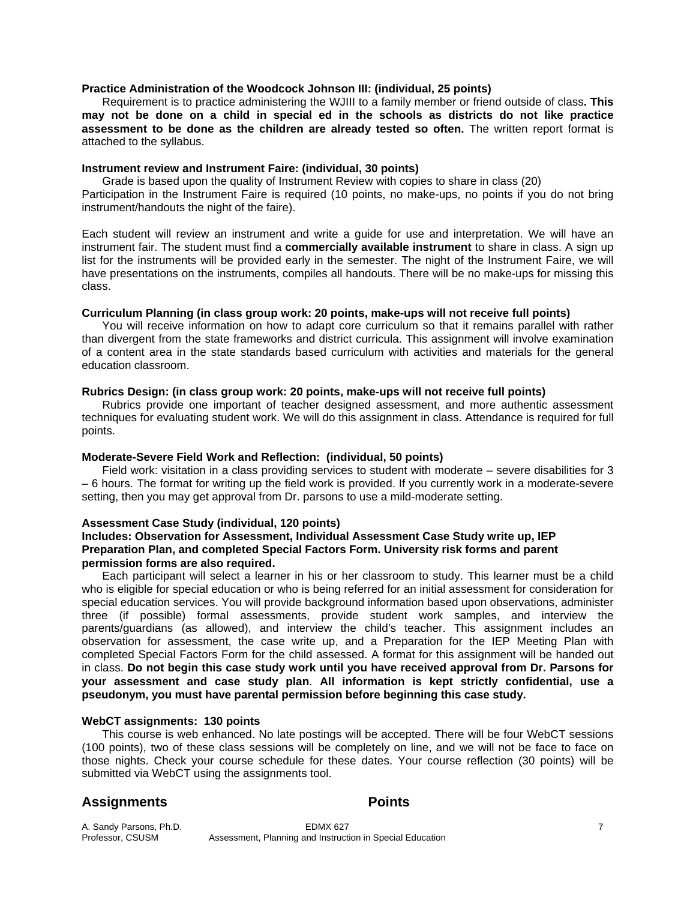#### **Practice Administration of the Woodcock Johnson III: (individual, 25 points)**

 Requirement is to practice administering the WJIII to a family member or friend outside of class**. This may not be done on a child in special ed in the schools as districts do not like practice assessment to be done as the children are already tested so often.** The written report format is attached to the syllabus.

#### **Instrument review and Instrument Faire: (individual, 30 points)**

 Grade is based upon the quality of Instrument Review with copies to share in class (20) Participation in the Instrument Faire is required (10 points, no make-ups, no points if you do not bring instrument/handouts the night of the faire).

Each student will review an instrument and write a guide for use and interpretation. We will have an instrument fair. The student must find a **commercially available instrument** to share in class. A sign up list for the instruments will be provided early in the semester. The night of the Instrument Faire, we will have presentations on the instruments, compiles all handouts. There will be no make-ups for missing this class.

# **Curriculum Planning (in class group work: 20 points, make-ups will not receive full points)**

 You will receive information on how to adapt core curriculum so that it remains parallel with rather than divergent from the state frameworks and district curricula. This assignment will involve examination of a content area in the state standards based curriculum with activities and materials for the general education classroom.

#### **Rubrics Design: (in class group work: 20 points, make-ups will not receive full points)**

 Rubrics provide one important of teacher designed assessment, and more authentic assessment techniques for evaluating student work. We will do this assignment in class. Attendance is required for full points.

# **Moderate-Severe Field Work and Reflection: (individual, 50 points)**

 Field work: visitation in a class providing services to student with moderate – severe disabilities for 3 – 6 hours. The format for writing up the field work is provided. If you currently work in a moderate-severe setting, then you may get approval from Dr. parsons to use a mild-moderate setting.

#### **Assessment Case Study (individual, 120 points)**

#### **Includes: Observation for Assessment, Individual Assessment Case Study write up, IEP Preparation Plan, and completed Special Factors Form. University risk forms and parent permission forms are also required.**

 Each participant will select a learner in his or her classroom to study. This learner must be a child who is eligible for special education or who is being referred for an initial assessment for consideration for special education services. You will provide background information based upon observations, administer three (if possible) formal assessments, provide student work samples, and interview the parents/guardians (as allowed), and interview the child's teacher. This assignment includes an observation for assessment, the case write up, and a Preparation for the IEP Meeting Plan with completed Special Factors Form for the child assessed. A format for this assignment will be handed out in class. **Do not begin this case study work until you have received approval from Dr. Parsons for your assessment and case study plan**. **All information is kept strictly confidential, use a pseudonym, you must have parental permission before beginning this case study.** 

#### **WebCT assignments: 130 points**

 This course is web enhanced. No late postings will be accepted. There will be four WebCT sessions (100 points), two of these class sessions will be completely on line, and we will not be face to face on those nights. Check your course schedule for these dates. Your course reflection (30 points) will be submitted via WebCT using the assignments tool.

# Assignments **Points**

A. Sandy Parsons, Ph.D. **EDMX 627** EDMX 627<br>Professor, CSUSM **Resolution** Assessment, Planning and Instruction in Special Education Assessment, Planning and Instruction in Special Education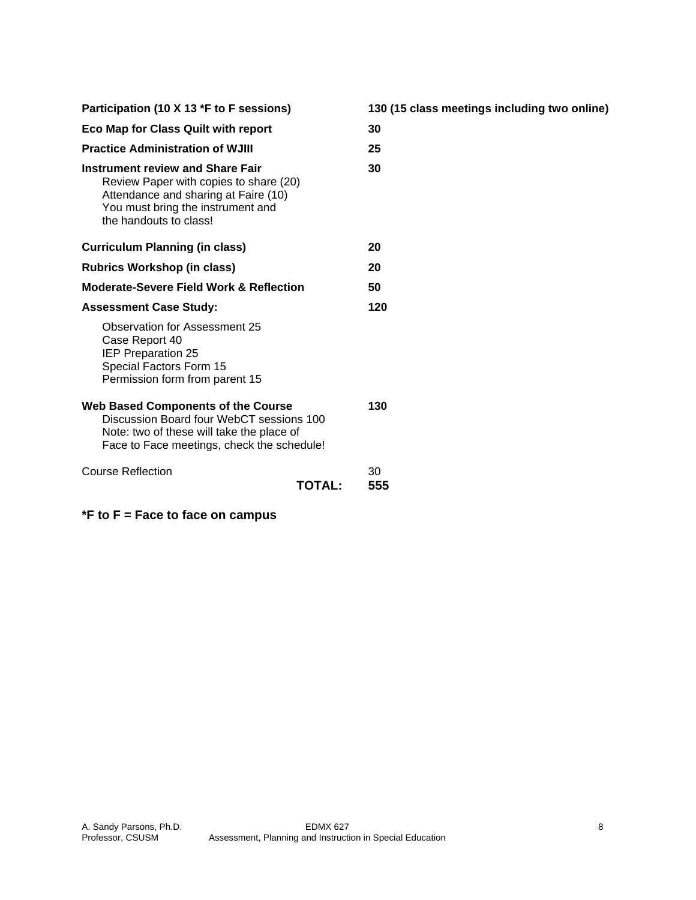| Participation (10 X 13 *F to F sessions)                                                                                                                                                 |           |
|------------------------------------------------------------------------------------------------------------------------------------------------------------------------------------------|-----------|
| <b>Eco Map for Class Quilt with report</b>                                                                                                                                               | 30        |
| <b>Practice Administration of WJIII</b>                                                                                                                                                  | 25        |
| <b>Instrument review and Share Fair</b><br>Review Paper with copies to share (20)<br>Attendance and sharing at Faire (10)<br>You must bring the instrument and<br>the handouts to class! | 30        |
| <b>Curriculum Planning (in class)</b>                                                                                                                                                    | 20        |
| <b>Rubrics Workshop (in class)</b>                                                                                                                                                       |           |
| <b>Moderate-Severe Field Work &amp; Reflection</b>                                                                                                                                       | 50        |
| <b>Assessment Case Study:</b>                                                                                                                                                            | 120       |
| Observation for Assessment 25<br>Case Report 40<br><b>IEP Preparation 25</b><br>Special Factors Form 15<br>Permission form from parent 15                                                |           |
| <b>Web Based Components of the Course</b><br>Discussion Board four WebCT sessions 100<br>Note: two of these will take the place of<br>Face to Face meetings, check the schedule!         |           |
| Course Reflection<br>TOTAL:                                                                                                                                                              | 30<br>555 |

**\*F to F = Face to face on campus** 

**15 class meetings including two online)**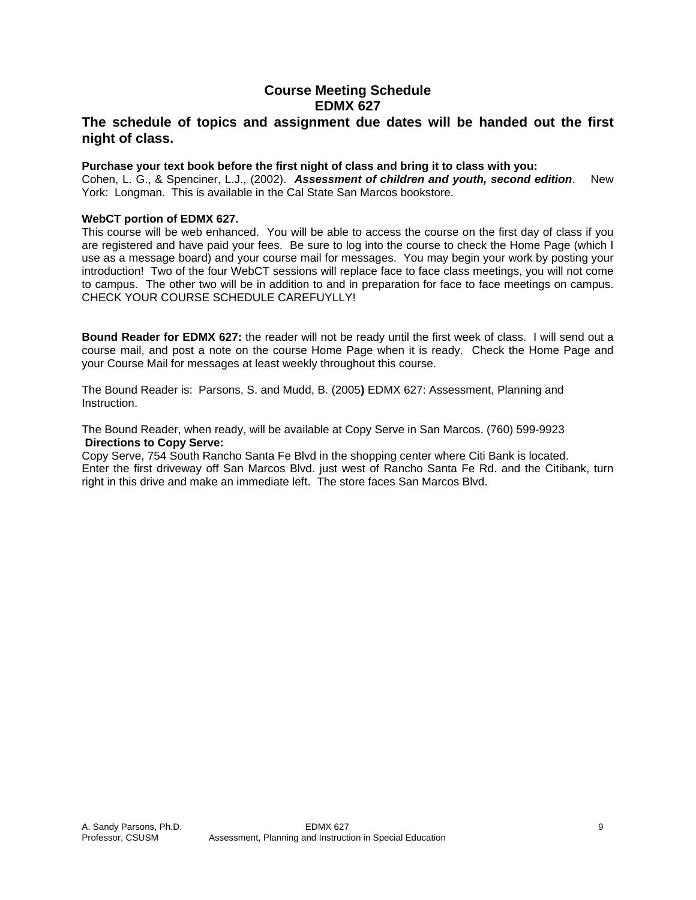# **Course Meeting Schedule EDMX 627**

# **The schedule of topics and assignment due dates will be handed out the first night of class.**

#### **Purchase your text book before the first night of class and bring it to class with you:**

Cohen, L. G., & Spenciner, L.J., (2002). *Assessment of children and youth, second edition*. New York: Longman. This is available in the Cal State San Marcos bookstore.

#### **WebCT portion of EDMX 627.**

This course will be web enhanced. You will be able to access the course on the first day of class if you are registered and have paid your fees. Be sure to log into the course to check the Home Page (which I use as a message board) and your course mail for messages. You may begin your work by posting your introduction! Two of the four WebCT sessions will replace face to face class meetings, you will not come to campus. The other two will be in addition to and in preparation for face to face meetings on campus. CHECK YOUR COURSE SCHEDULE CAREFUYLLY!

**Bound Reader for EDMX 627:** the reader will not be ready until the first week of class. I will send out a course mail, and post a note on the course Home Page when it is ready. Check the Home Page and your Course Mail for messages at least weekly throughout this course.

The Bound Reader is: Parsons, S. and Mudd, B. (2005**)** EDMX 627: Assessment, Planning and Instruction.

The Bound Reader, when ready, will be available at Copy Serve in San Marcos. (760) 599-9923 **Directions to Copy Serve:** 

Copy Serve, 754 South Rancho Santa Fe Blvd in the shopping center where Citi Bank is located. Enter the first driveway off San Marcos Blvd. just west of Rancho Santa Fe Rd. and the Citibank, turn right in this drive and make an immediate left. The store faces San Marcos Blvd.